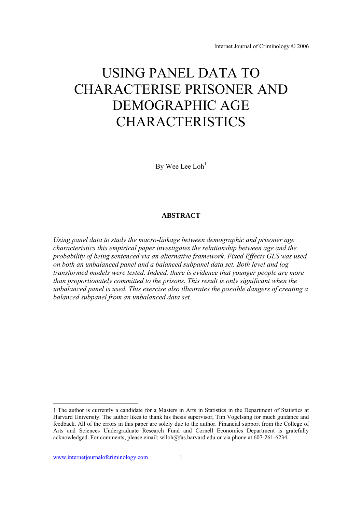Internet Journal of Criminology © 2006

# USING PANEL DATA TO CHARACTERISE PRISONER AND DEMOGRAPHIC AGE CHARACTERISTICS

By Wee Lee  $Loh<sup>1</sup>$ 

## **ABSTRACT**

*Using panel data to study the macro-linkage between demographic and prisoner age characteristics this empirical paper investigates the relationship between age and the probability of being sentenced via an alternative framework. Fixed Effects GLS was used on both an unbalanced panel and a balanced subpanel data set. Both level and log transformed models were tested. Indeed, there is evidence that younger people are more than proportionately committed to the prisons. This result is only significant when the unbalanced panel is used. This exercise also illustrates the possible dangers of creating a balanced subpanel from an unbalanced data set.* 

 $\overline{a}$ 

<sup>1</sup> The author is currently a candidate for a Masters in Arts in Statistics in the Department of Statistics at Harvard University. The author likes to thank his thesis supervisor, Tim Vogelsang for much guidance and feedback. All of the errors in this paper are solely due to the author. Financial support from the College of Arts and Sciences Undergraduate Research Fund and Cornell Economics Department is gratefully acknowledged. For comments, please email: wlloh@fas.harvard.edu or via phone at 607-261-6234.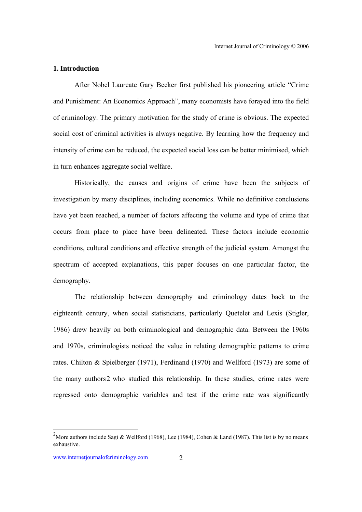## **1. Introduction**

After Nobel Laureate Gary Becker first published his pioneering article "Crime and Punishment: An Economics Approach", many economists have forayed into the field of criminology. The primary motivation for the study of crime is obvious. The expected social cost of criminal activities is always negative. By learning how the frequency and intensity of crime can be reduced, the expected social loss can be better minimised, which in turn enhances aggregate social welfare.

Historically, the causes and origins of crime have been the subjects of investigation by many disciplines, including economics. While no definitive conclusions have yet been reached, a number of factors affecting the volume and type of crime that occurs from place to place have been delineated. These factors include economic conditions, cultural conditions and effective strength of the judicial system. Amongst the spectrum of accepted explanations, this paper focuses on one particular factor, the demography.

The relationship between demography and criminology dates back to the eighteenth century, when social statisticians, particularly Quetelet and Lexis (Stigler, 1986) drew heavily on both criminological and demographic data. Between the 1960s and 1970s, criminologists noticed the value in relating demographic patterns to crime rates. Chilton & Spielberger (1971), Ferdinand (1970) and Wellford (1973) are some of the many authors2 who studied this relationship. In these studies, crime rates were regressed onto demographic variables and test if the crime rate was significantly

<sup>&</sup>lt;sup>2</sup>More authors include Sagi & Wellford (1968), Lee (1984), Cohen & Land (1987). This list is by no means exhaustive.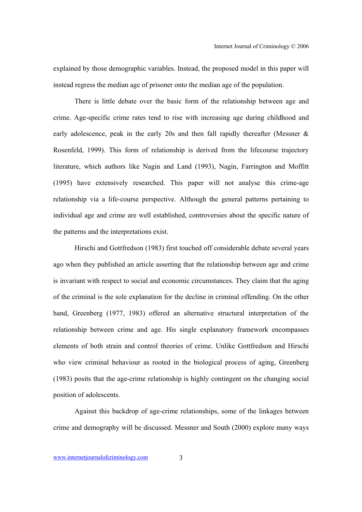explained by those demographic variables. Instead, the proposed model in this paper will instead regress the median age of prisoner onto the median age of the population.

There is little debate over the basic form of the relationship between age and crime. Age-specific crime rates tend to rise with increasing age during childhood and early adolescence, peak in the early 20s and then fall rapidly thereafter (Messner & Rosenfeld, 1999). This form of relationship is derived from the lifecourse trajectory literature, which authors like Nagin and Land (1993), Nagin, Farrington and Moffitt (1995) have extensively researched. This paper will not analyse this crime-age relationship via a life-course perspective. Although the general patterns pertaining to individual age and crime are well established, controversies about the specific nature of the patterns and the interpretations exist.

Hirschi and Gottfredson (1983) first touched off considerable debate several years ago when they published an article asserting that the relationship between age and crime is invariant with respect to social and economic circumstances. They claim that the aging of the criminal is the sole explanation for the decline in criminal offending. On the other hand, Greenberg (1977, 1983) offered an alternative structural interpretation of the relationship between crime and age. His single explanatory framework encompasses elements of both strain and control theories of crime. Unlike Gottfredson and Hirschi who view criminal behaviour as rooted in the biological process of aging, Greenberg (1983) posits that the age-crime relationship is highly contingent on the changing social position of adolescents.

Against this backdrop of age-crime relationships, some of the linkages between crime and demography will be discussed. Messner and South (2000) explore many ways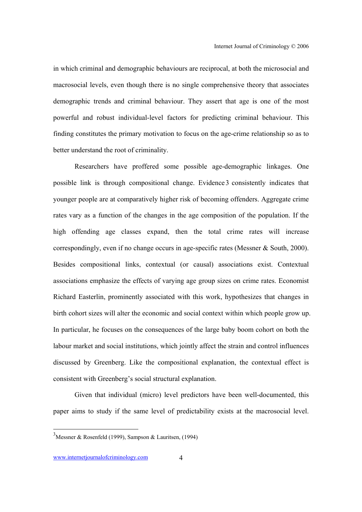in which criminal and demographic behaviours are reciprocal, at both the microsocial and macrosocial levels, even though there is no single comprehensive theory that associates demographic trends and criminal behaviour. They assert that age is one of the most powerful and robust individual-level factors for predicting criminal behaviour. This finding constitutes the primary motivation to focus on the age-crime relationship so as to better understand the root of criminality.

Researchers have proffered some possible age-demographic linkages. One possible link is through compositional change. Evidence3 consistently indicates that younger people are at comparatively higher risk of becoming offenders. Aggregate crime rates vary as a function of the changes in the age composition of the population. If the high offending age classes expand, then the total crime rates will increase correspondingly, even if no change occurs in age-specific rates (Messner & South, 2000). Besides compositional links, contextual (or causal) associations exist. Contextual associations emphasize the effects of varying age group sizes on crime rates. Economist Richard Easterlin, prominently associated with this work, hypothesizes that changes in birth cohort sizes will alter the economic and social context within which people grow up. In particular, he focuses on the consequences of the large baby boom cohort on both the labour market and social institutions, which jointly affect the strain and control influences discussed by Greenberg. Like the compositional explanation, the contextual effect is consistent with Greenberg's social structural explanation.

Given that individual (micro) level predictors have been well-documented, this paper aims to study if the same level of predictability exists at the macrosocial level.

<sup>&</sup>lt;sup>3</sup>Messner & Rosenfeld (1999), Sampson & Lauritsen, (1994)

www.internetiournalofcriminology.com 4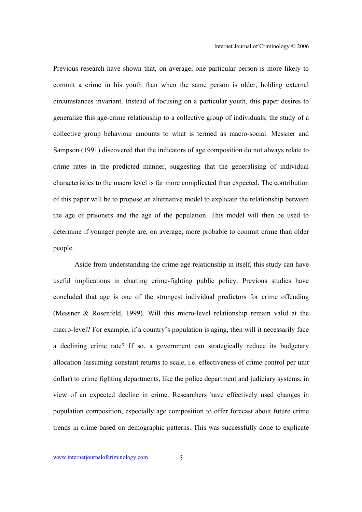Previous research have shown that, on average, one particular person is more likely to commit a crime in his youth than when the same person is older, holding external circumstances invariant. Instead of focusing on a particular youth, this paper desires to generalize this age-crime relationship to a collective group of individuals; the study of a collective group behaviour amounts to what is termed as macro-social. Messner and Sampson (1991) discovered that the indicators of age composition do not always relate to crime rates in the predicted manner, suggesting that the generalising of individual characteristics to the macro level is far more complicated than expected. The contribution of this paper will be to propose an alternative model to explicate the relationship between the age of prisoners and the age of the population. This model will then be used to determine if younger people are, on average, more probable to commit crime than older people.

 Aside from understanding the crime-age relationship in itself, this study can have useful implications in charting crime-fighting public policy. Previous studies have concluded that age is one of the strongest individual predictors for crime offending (Messner & Rosenfeld, 1999). Will this micro-level relationship remain valid at the macro-level? For example, if a country's population is aging, then will it necessarily face a declining crime rate? If so, a government can strategically reduce its budgetary allocation (assuming constant returns to scale, i.e. effectiveness of crime control per unit dollar) to crime fighting departments, like the police department and judiciary systems, in view of an expected decline in crime. Researchers have effectively used changes in population composition, especially age composition to offer forecast about future crime trends in crime based on demographic patterns. This was successfully done to explicate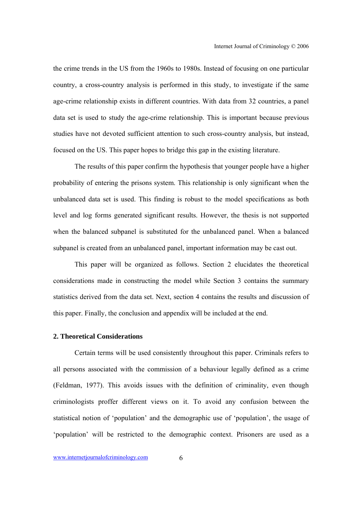the crime trends in the US from the 1960s to 1980s. Instead of focusing on one particular country, a cross-country analysis is performed in this study, to investigate if the same age-crime relationship exists in different countries. With data from 32 countries, a panel data set is used to study the age-crime relationship. This is important because previous studies have not devoted sufficient attention to such cross-country analysis, but instead, focused on the US. This paper hopes to bridge this gap in the existing literature.

The results of this paper confirm the hypothesis that younger people have a higher probability of entering the prisons system. This relationship is only significant when the unbalanced data set is used. This finding is robust to the model specifications as both level and log forms generated significant results. However, the thesis is not supported when the balanced subpanel is substituted for the unbalanced panel. When a balanced subpanel is created from an unbalanced panel, important information may be cast out.

This paper will be organized as follows. Section 2 elucidates the theoretical considerations made in constructing the model while Section 3 contains the summary statistics derived from the data set. Next, section 4 contains the results and discussion of this paper. Finally, the conclusion and appendix will be included at the end.

#### **2. Theoretical Considerations**

Certain terms will be used consistently throughout this paper. Criminals refers to all persons associated with the commission of a behaviour legally defined as a crime (Feldman, 1977). This avoids issues with the definition of criminality, even though criminologists proffer different views on it. To avoid any confusion between the statistical notion of 'population' and the demographic use of 'population', the usage of 'population' will be restricted to the demographic context. Prisoners are used as a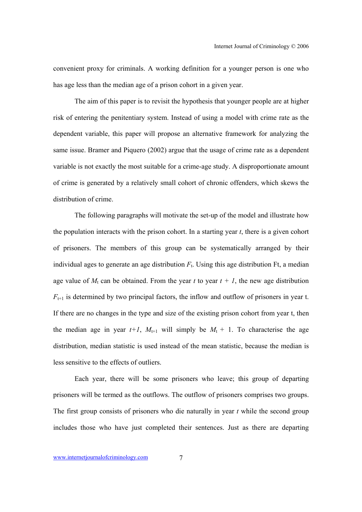convenient proxy for criminals. A working definition for a younger person is one who has age less than the median age of a prison cohort in a given year.

The aim of this paper is to revisit the hypothesis that younger people are at higher risk of entering the penitentiary system. Instead of using a model with crime rate as the dependent variable, this paper will propose an alternative framework for analyzing the same issue. Bramer and Piquero (2002) argue that the usage of crime rate as a dependent variable is not exactly the most suitable for a crime-age study. A disproportionate amount of crime is generated by a relatively small cohort of chronic offenders, which skews the distribution of crime.

The following paragraphs will motivate the set-up of the model and illustrate how the population interacts with the prison cohort. In a starting year *t*, there is a given cohort of prisoners. The members of this group can be systematically arranged by their individual ages to generate an age distribution *F*t. Using this age distribution Ft, a median age value of  $M_t$  can be obtained. From the year *t* to year  $t + 1$ , the new age distribution  $F_{t+1}$  is determined by two principal factors, the inflow and outflow of prisoners in year t. If there are no changes in the type and size of the existing prison cohort from year t, then the median age in year  $t+1$ ,  $M_{t+1}$  will simply be  $M_t + 1$ . To characterise the age distribution, median statistic is used instead of the mean statistic, because the median is less sensitive to the effects of outliers.

Each year, there will be some prisoners who leave; this group of departing prisoners will be termed as the outflows. The outflow of prisoners comprises two groups. The first group consists of prisoners who die naturally in year *t* while the second group includes those who have just completed their sentences. Just as there are departing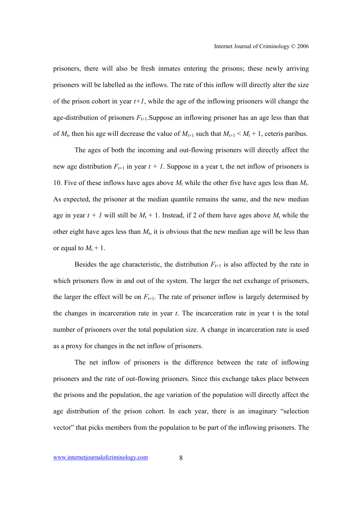prisoners, there will also be fresh inmates entering the prisons; these newly arriving prisoners will be labelled as the inflows. The rate of this inflow will directly alter the size of the prison cohort in year  $t+1$ , while the age of the inflowing prisoners will change the age-distribution of prisoners  $F_{t+1}$ . Suppose an inflowing prisoner has an age less than that of  $M_t$ , then his age will decrease the value of  $M_{t+1}$  such that  $M_{t+1} < M_t + 1$ , ceteris paribus.

The ages of both the incoming and out-flowing prisoners will directly affect the new age distribution  $F_{t+1}$  in year  $t + 1$ . Suppose in a year t, the net inflow of prisoners is 10. Five of these inflows have ages above  $M_t$  while the other five have ages less than  $M_t$ . As expected, the prisoner at the median quantile remains the same, and the new median age in year  $t + 1$  will still be  $M_t + 1$ . Instead, if 2 of them have ages above  $M_t$  while the other eight have ages less than  $M_t$ , it is obvious that the new median age will be less than or equal to  $M_t + 1$ .

Besides the age characteristic, the distribution  $F_{t+1}$  is also affected by the rate in which prisoners flow in and out of the system. The larger the net exchange of prisoners, the larger the effect will be on  $F_{t+1}$ . The rate of prisoner inflow is largely determined by the changes in incarceration rate in year *t*. The incarceration rate in year t is the total number of prisoners over the total population size. A change in incarceration rate is used as a proxy for changes in the net inflow of prisoners.

The net inflow of prisoners is the difference between the rate of inflowing prisoners and the rate of out-flowing prisoners. Since this exchange takes place between the prisons and the population, the age variation of the population will directly affect the age distribution of the prison cohort. In each year, there is an imaginary "selection vector" that picks members from the population to be part of the inflowing prisoners. The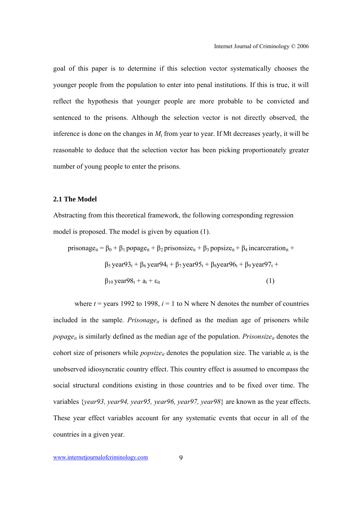goal of this paper is to determine if this selection vector systematically chooses the younger people from the population to enter into penal institutions. If this is true, it will reflect the hypothesis that younger people are more probable to be convicted and sentenced to the prisons. Although the selection vector is not directly observed, the inference is done on the changes in  $M_t$  from year to year. If Mt decreases yearly, it will be reasonable to deduce that the selection vector has been picking proportionately greater number of young people to enter the prisons.

## **2.1 The Model**

Abstracting from this theoretical framework, the following corresponding regression model is proposed. The model is given by equation (1).

$$
\text{prisonage}_{it} = \beta_0 + \beta_1 \text{ popage}_{it} + \beta_2 \text{ prisonsize}_{it} + \beta_3 \text{ popsize}_{it} + \beta_4 \text{ incarceration}_{it} + \beta_5 \text{ year93}_t + \beta_6 \text{ year94}_t + \beta_7 \text{ year95}_t + \beta_8 \text{ year96}_t + \beta_9 \text{ year97}_t + \beta_{10} \text{ year98}_t + a_i + \varepsilon_{it} \tag{1}
$$

where  $t =$  years 1992 to 1998,  $i = 1$  to N where N denotes the number of countries included in the sample. *Prisonage<sub>it</sub>* is defined as the median age of prisoners while *popage<sub>it</sub>* is similarly defined as the median age of the population. *Prisonsize<sub>it</sub>* denotes the cohort size of prisoners while *popsize<sub>it</sub>* denotes the population size. The variable  $a_i$  is the unobserved idiosyncratic country effect. This country effect is assumed to encompass the social structural conditions existing in those countries and to be fixed over time. The variables {*year93, year94, year95, year96, year97, year98*} are known as the year effects. These year effect variables account for any systematic events that occur in all of the countries in a given year.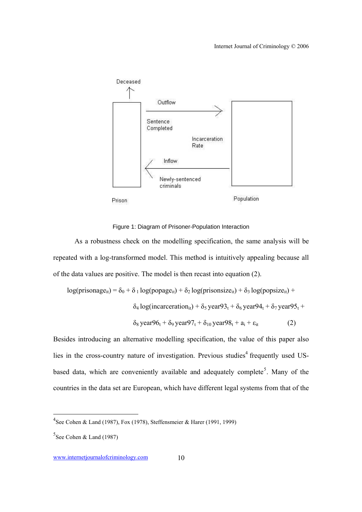

Figure 1: Diagram of Prisoner-Population Interaction

As a robustness check on the modelling specification, the same analysis will be repeated with a log-transformed model. This method is intuitively appealing because all of the data values are positive. The model is then recast into equation (2).

$$
log(prisonage_{it}) = \delta_0 + \delta_1 log(popage_{it}) + \delta_2 log(prisonsize_{it}) + \delta_3 log(popsize_{it}) + \delta_4 log(incarceration_{it}) + \delta_5 year93_t + \delta_6 year94_t + \delta_7 year95_t + \delta_8 year96_t + \delta_9 year97_t + \delta_{10} year98_t + a_i + \varepsilon_{it}
$$
 (2)

Besides introducing an alternative modelling specification, the value of this paper also lies in the cross-country nature of investigation. Previous studies<sup>4</sup> frequently used USbased data, which are conveniently available and adequately complete<sup>5</sup>. Many of the countries in the data set are European, which have different legal systems from that of the

<sup>&</sup>lt;sup>4</sup>See Cohen & Land (1987), Fox (1978), Steffensmeier & Harer (1991, 1999)

 $5$ See Cohen & Land (1987)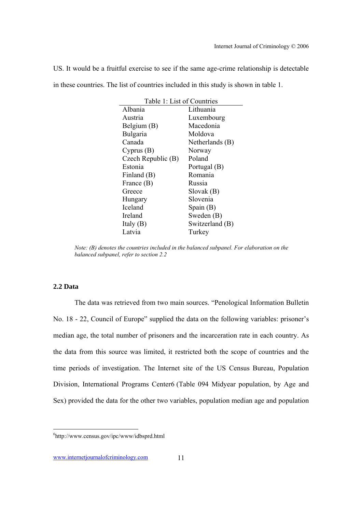US. It would be a fruitful exercise to see if the same age-crime relationship is detectable in these countries. The list of countries included in this study is shown in table 1.

| Table 1: List of Countries |                 |  |  |  |
|----------------------------|-----------------|--|--|--|
| Albania                    | Lithuania       |  |  |  |
| Austria                    | Luxembourg      |  |  |  |
| Belgium (B)                | Macedonia       |  |  |  |
| Bulgaria                   | Moldova         |  |  |  |
| Canada                     | Netherlands (B) |  |  |  |
| Cyprus(B)                  | Norway          |  |  |  |
| Czech Republic (B)         | Poland          |  |  |  |
| Estonia                    | Portugal (B)    |  |  |  |
| Finland (B)                | Romania         |  |  |  |
| France (B)                 | Russia          |  |  |  |
| Greece                     | Slovak(B)       |  |  |  |
| Hungary                    | Slovenia        |  |  |  |
| Iceland                    | Spain $(B)$     |  |  |  |
| Ireland                    | Sweden (B)      |  |  |  |
| Italy $(B)$                | Switzerland (B) |  |  |  |
| Latvia                     | Turkey          |  |  |  |

*Note: (B) denotes the countries included in the balanced subpanel. For elaboration on the balanced subpanel, refer to section 2.2* 

## **2.2 Data**

The data was retrieved from two main sources. "Penological Information Bulletin No. 18 - 22, Council of Europe" supplied the data on the following variables: prisoner's median age, the total number of prisoners and the incarceration rate in each country. As the data from this source was limited, it restricted both the scope of countries and the time periods of investigation. The Internet site of the US Census Bureau, Population Division, International Programs Center6 (Table 094 Midyear population, by Age and Sex) provided the data for the other two variables, population median age and population

www.internetjournalofcriminology.com 11

<sup>6</sup> http://www.census.gov/ipc/www/idbsprd.html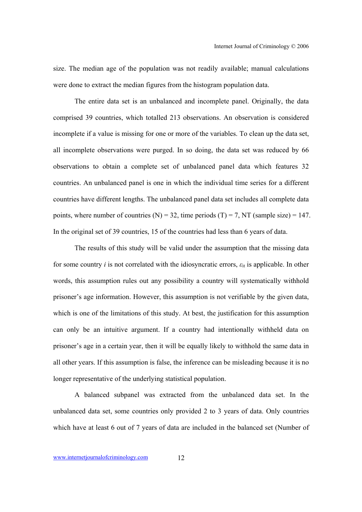size. The median age of the population was not readily available; manual calculations were done to extract the median figures from the histogram population data.

The entire data set is an unbalanced and incomplete panel. Originally, the data comprised 39 countries, which totalled 213 observations. An observation is considered incomplete if a value is missing for one or more of the variables. To clean up the data set, all incomplete observations were purged. In so doing, the data set was reduced by 66 observations to obtain a complete set of unbalanced panel data which features 32 countries. An unbalanced panel is one in which the individual time series for a different countries have different lengths. The unbalanced panel data set includes all complete data points, where number of countries (N) = 32, time periods (T) = 7, NT (sample size) = 147. In the original set of 39 countries, 15 of the countries had less than 6 years of data.

The results of this study will be valid under the assumption that the missing data for some country *i* is not correlated with the idiosyncratic errors,  $\varepsilon_{it}$  is applicable. In other words, this assumption rules out any possibility a country will systematically withhold prisoner's age information. However, this assumption is not verifiable by the given data, which is one of the limitations of this study. At best, the justification for this assumption can only be an intuitive argument. If a country had intentionally withheld data on prisoner's age in a certain year, then it will be equally likely to withhold the same data in all other years. If this assumption is false, the inference can be misleading because it is no longer representative of the underlying statistical population.

A balanced subpanel was extracted from the unbalanced data set. In the unbalanced data set, some countries only provided 2 to 3 years of data. Only countries which have at least 6 out of 7 years of data are included in the balanced set (Number of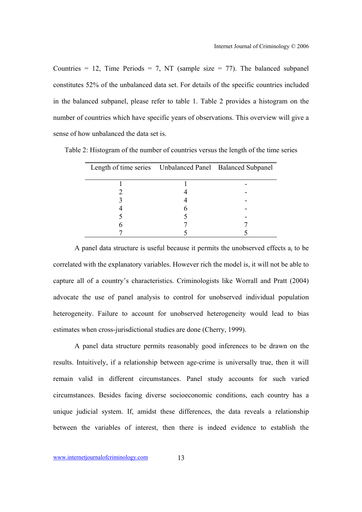Countries = 12, Time Periods = 7, NT (sample size = 77). The balanced subpanel constitutes 52% of the unbalanced data set. For details of the specific countries included in the balanced subpanel, please refer to table 1. Table 2 provides a histogram on the number of countries which have specific years of observations. This overview will give a sense of how unbalanced the data set is.

| Table 2: Histogram of the number of countries versus the length of the time series |  |  |  |
|------------------------------------------------------------------------------------|--|--|--|
|                                                                                    |  |  |  |

| Length of time series Unbalanced Panel Balanced Subpanel |  |
|----------------------------------------------------------|--|
|                                                          |  |
|                                                          |  |
|                                                          |  |
|                                                          |  |
|                                                          |  |
|                                                          |  |
|                                                          |  |
|                                                          |  |

A panel data structure is useful because it permits the unobserved effects  $a_i$  to be correlated with the explanatory variables. However rich the model is, it will not be able to capture all of a country's characteristics. Criminologists like Worrall and Pratt (2004) advocate the use of panel analysis to control for unobserved individual population heterogeneity. Failure to account for unobserved heterogeneity would lead to bias estimates when cross-jurisdictional studies are done (Cherry, 1999).

A panel data structure permits reasonably good inferences to be drawn on the results. Intuitively, if a relationship between age-crime is universally true, then it will remain valid in different circumstances. Panel study accounts for such varied circumstances. Besides facing diverse socioeconomic conditions, each country has a unique judicial system. If, amidst these differences, the data reveals a relationship between the variables of interest, then there is indeed evidence to establish the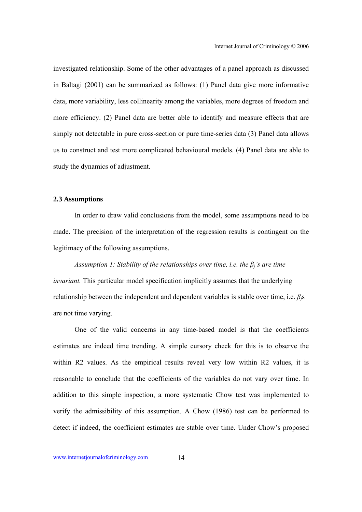investigated relationship. Some of the other advantages of a panel approach as discussed in Baltagi (2001) can be summarized as follows: (1) Panel data give more informative data, more variability, less collinearity among the variables, more degrees of freedom and more efficiency. (2) Panel data are better able to identify and measure effects that are simply not detectable in pure cross-section or pure time-series data (3) Panel data allows us to construct and test more complicated behavioural models. (4) Panel data are able to study the dynamics of adjustment.

## **2.3 Assumptions**

In order to draw valid conclusions from the model, some assumptions need to be made. The precision of the interpretation of the regression results is contingent on the legitimacy of the following assumptions.

## *Assumption 1: Stability of the relationships over time, i.e. the*  $\beta$ *<sup><i>j*</sup> *s* are time

*invariant*. This particular model specification implicitly assumes that the underlying relationship between the independent and dependent variables is stable over time, i.e. *βj*s are not time varying.

One of the valid concerns in any time-based model is that the coefficients estimates are indeed time trending. A simple cursory check for this is to observe the within R2 values. As the empirical results reveal very low within R2 values, it is reasonable to conclude that the coefficients of the variables do not vary over time. In addition to this simple inspection, a more systematic Chow test was implemented to verify the admissibility of this assumption. A Chow (1986) test can be performed to detect if indeed, the coefficient estimates are stable over time. Under Chow's proposed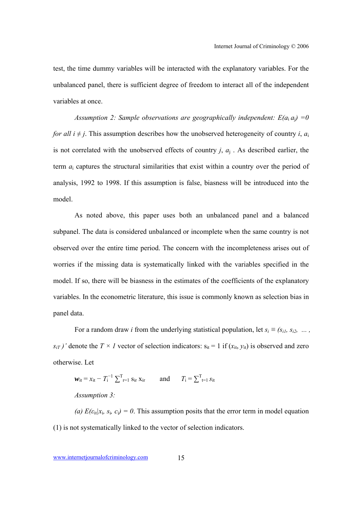test, the time dummy variables will be interacted with the explanatory variables. For the unbalanced panel, there is sufficient degree of freedom to interact all of the independent variables at once.

*Assumption 2: Sample observations are geographically independent:*  $E(a_i a_j) = 0$ *for all i*  $\neq$  *j*. This assumption describes how the unobserved heterogeneity of country *i*, *a*<sub>i</sub> is not correlated with the unobserved effects of country  $j$ ,  $a_i$ . As described earlier, the term *a*i captures the structural similarities that exist within a country over the period of analysis, 1992 to 1998. If this assumption is false, biasness will be introduced into the model.

As noted above, this paper uses both an unbalanced panel and a balanced subpanel. The data is considered unbalanced or incomplete when the same country is not observed over the entire time period. The concern with the incompleteness arises out of worries if the missing data is systematically linked with the variables specified in the model. If so, there will be biasness in the estimates of the coefficients of the explanatory variables. In the econometric literature, this issue is commonly known as selection bias in panel data.

For a random draw *i* from the underlying statistical population, let  $s_i \equiv (s_{i1}, s_{i2}, \ldots, s_{iN})$  $s_{iT}$ )' denote the  $T \times I$  vector of selection indicators:  $s_{it} = 1$  if  $(x_{it}, y_{it})$  is observed and zero otherwise. Let

 $w_{it} = x_{it} - T_i^{-1} \sum_{r=1}^{T} s_{ir} x_{ir}$  and  $T_i = \sum_{t=1}^{T} s_{it}$ *Assumption 3:* 

(a)  $E(\epsilon_{it}|x_i, s_i, c_i) = 0$ . This assumption posits that the error term in model equation (1) is not systematically linked to the vector of selection indicators.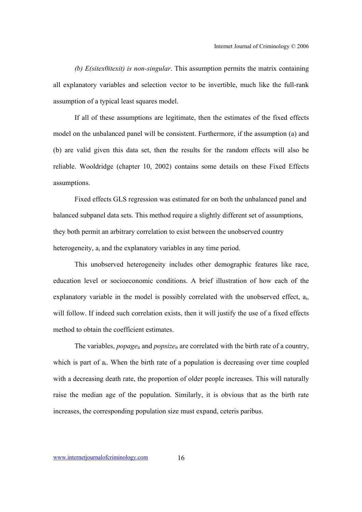*(b) E(sitex0itexit) is non-singular*. This assumption permits the matrix containing all explanatory variables and selection vector to be invertible, much like the full-rank assumption of a typical least squares model.

If all of these assumptions are legitimate, then the estimates of the fixed effects model on the unbalanced panel will be consistent. Furthermore, if the assumption (a) and (b) are valid given this data set, then the results for the random effects will also be reliable. Wooldridge (chapter 10, 2002) contains some details on these Fixed Effects assumptions.

Fixed effects GLS regression was estimated for on both the unbalanced panel and balanced subpanel data sets. This method require a slightly different set of assumptions, they both permit an arbitrary correlation to exist between the unobserved country heterogeneity,  $a_i$  and the explanatory variables in any time period.

This unobserved heterogeneity includes other demographic features like race, education level or socioeconomic conditions. A brief illustration of how each of the explanatory variable in the model is possibly correlated with the unobserved effect, ai, will follow. If indeed such correlation exists, then it will justify the use of a fixed effects method to obtain the coefficient estimates.

The variables, *popage*<sub>it</sub> and *popsize*<sub>it</sub> are correlated with the birth rate of a country, which is part of  $a_i$ . When the birth rate of a population is decreasing over time coupled with a decreasing death rate, the proportion of older people increases. This will naturally raise the median age of the population. Similarly, it is obvious that as the birth rate increases, the corresponding population size must expand, ceteris paribus.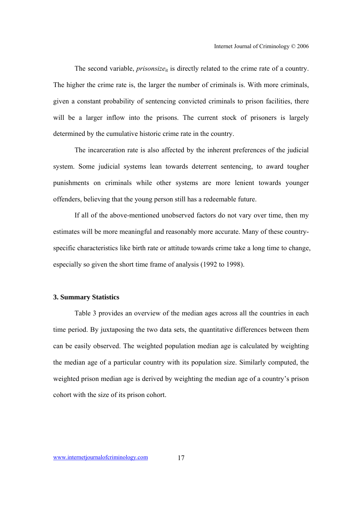The second variable, *prisonsize*<sub>it</sub> is directly related to the crime rate of a country. The higher the crime rate is, the larger the number of criminals is. With more criminals, given a constant probability of sentencing convicted criminals to prison facilities, there will be a larger inflow into the prisons. The current stock of prisoners is largely determined by the cumulative historic crime rate in the country.

The incarceration rate is also affected by the inherent preferences of the judicial system. Some judicial systems lean towards deterrent sentencing, to award tougher punishments on criminals while other systems are more lenient towards younger offenders, believing that the young person still has a redeemable future.

If all of the above-mentioned unobserved factors do not vary over time, then my estimates will be more meaningful and reasonably more accurate. Many of these countryspecific characteristics like birth rate or attitude towards crime take a long time to change, especially so given the short time frame of analysis (1992 to 1998).

## **3. Summary Statistics**

Table 3 provides an overview of the median ages across all the countries in each time period. By juxtaposing the two data sets, the quantitative differences between them can be easily observed. The weighted population median age is calculated by weighting the median age of a particular country with its population size. Similarly computed, the weighted prison median age is derived by weighting the median age of a country's prison cohort with the size of its prison cohort.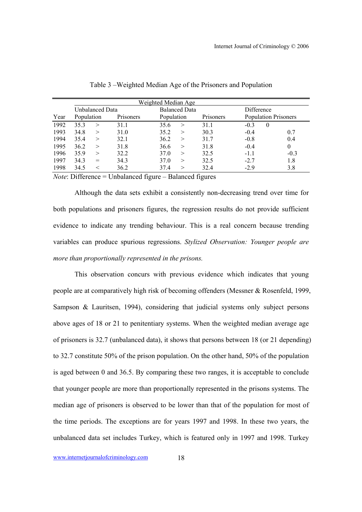|      |            |                 |           | <b>Weighted Median Age</b> |                      |           |            |                             |
|------|------------|-----------------|-----------|----------------------------|----------------------|-----------|------------|-----------------------------|
|      |            | Unbalanced Data |           |                            | <b>Balanced Data</b> |           | Difference |                             |
| Year | Population |                 | Prisoners | Population                 |                      | Prisoners |            | <b>Population Prisoners</b> |
| 1992 | 35.3       | $\geq$          | 31.1      | 35.6                       | $\geq$               | 31.1      | $-0.3$     | $\theta$                    |
| 1993 | 34.8       | >               | 31.0      | 35.2                       | >                    | 30.3      | $-0.4$     | 0.7                         |
| 1994 | 35.4       | $\geq$          | 32.1      | 36.2                       | $\rm{>}$             | 31.7      | $-0.8$     | 0.4                         |
| 1995 | 36.2       | $\geq$          | 31.8      | 36.6                       | $\rm{>}$             | 31.8      | $-0.4$     | $\theta$                    |
| 1996 | 35.9       | >               | 32.2      | 37.0                       | $\gt$                | 32.5      | $-1.1$     | $-0.3$                      |
| 1997 | 34.3       | $=$             | 34.3      | 37.0                       | $\rm{>}$             | 32.5      | $-2.7$     | 1.8                         |
| 1998 | 34.5       |                 | 36.2      | 37.4                       | $\rm{>}$             | 32.4      | $-2.9$     | 3.8                         |

Table 3 –Weighted Median Age of the Prisoners and Population

*Note*: Difference = Unbalanced figure – Balanced figures

Although the data sets exhibit a consistently non-decreasing trend over time for both populations and prisoners figures, the regression results do not provide sufficient evidence to indicate any trending behaviour. This is a real concern because trending variables can produce spurious regressions. *Stylized Observation: Younger people are more than proportionally represented in the prisons.* 

This observation concurs with previous evidence which indicates that young people are at comparatively high risk of becoming offenders (Messner & Rosenfeld, 1999, Sampson & Lauritsen, 1994), considering that judicial systems only subject persons above ages of 18 or 21 to penitentiary systems. When the weighted median average age of prisoners is 32.7 (unbalanced data), it shows that persons between 18 (or 21 depending) to 32.7 constitute 50% of the prison population. On the other hand, 50% of the population is aged between 0 and 36.5. By comparing these two ranges, it is acceptable to conclude that younger people are more than proportionally represented in the prisons systems. The median age of prisoners is observed to be lower than that of the population for most of the time periods. The exceptions are for years 1997 and 1998. In these two years, the unbalanced data set includes Turkey, which is featured only in 1997 and 1998. Turkey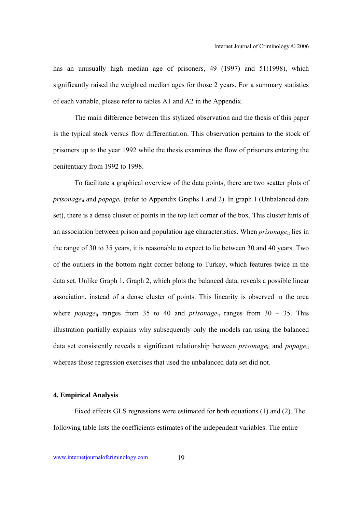has an unusually high median age of prisoners, 49 (1997) and 51(1998), which significantly raised the weighted median ages for those 2 years. For a summary statistics of each variable, please refer to tables A1 and A2 in the Appendix.

The main difference between this stylized observation and the thesis of this paper is the typical stock versus flow differentiation. This observation pertains to the stock of prisoners up to the year 1992 while the thesis examines the flow of prisoners entering the penitentiary from 1992 to 1998.

To facilitate a graphical overview of the data points, there are two scatter plots of *prisonage*<sub>it</sub> and *popage*<sub>it</sub> (refer to Appendix Graphs 1 and 2). In graph 1 (Unbalanced data set), there is a dense cluster of points in the top left corner of the box. This cluster hints of an association between prison and population age characteristics. When *prisonage*<sub>it</sub> lies in the range of 30 to 35 years, it is reasonable to expect to lie between 30 and 40 years. Two of the outliers in the bottom right corner belong to Turkey, which features twice in the data set. Unlike Graph 1, Graph 2, which plots the balanced data, reveals a possible linear association, instead of a dense cluster of points. This linearity is observed in the area where *popage*<sub>it</sub> ranges from 35 to 40 and *prisonage*<sub>it</sub> ranges from 30 – 35. This illustration partially explains why subsequently only the models ran using the balanced data set consistently reveals a significant relationship between *prisonage*<sub>it</sub> and *popage*<sub>it</sub> whereas those regression exercises that used the unbalanced data set did not.

#### **4. Empirical Analysis**

Fixed effects GLS regressions were estimated for both equations (1) and (2). The following table lists the coefficients estimates of the independent variables. The entire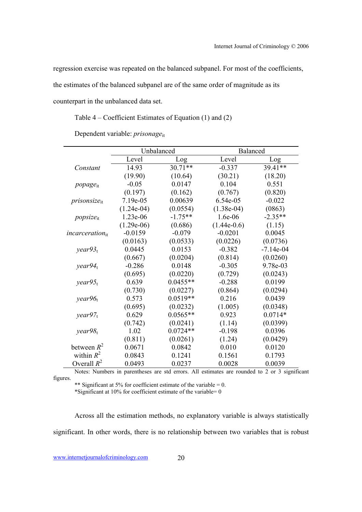regression exercise was repeated on the balanced subpanel. For most of the coefficients,

the estimates of the balanced subpanel are of the same order of magnitude as its

counterpart in the unbalanced data set.

Table 4 – Coefficient Estimates of Equation (1) and (2)

Dependent variable: *prisonage*it

|                      | Unbalanced   |            | Balanced      |             |
|----------------------|--------------|------------|---------------|-------------|
|                      | Level        | Log        | Level         | Log         |
| Constant             | 14.93        | $30.71**$  | $-0.337$      | 39.41**     |
|                      | (19.90)      | (10.64)    | (30.21)       | (18.20)     |
| popage <sub>it</sub> | $-0.05$      | 0.0147     | 0.104         | 0.551       |
|                      | (0.197)      | (0.162)    | (0.767)       | (0.820)     |
| $prisonsize_{it}$    | 7.19e-05     | 0.00639    | 6.54e-05      | $-0.022$    |
|                      | $(1.24e-04)$ | (0.0554)   | $(1.38e-04)$  | (0863)      |
| $popsize_{it}$       | 1.23e-06     | $-1.75**$  | 1.6e-06       | $-2.35**$   |
|                      | $(1.29e-06)$ | (0.686)    | $(1.44e-0.6)$ | (1.15)      |
| $incarceration_{it}$ | $-0.0159$    | $-0.079$   | $-0.0201$     | 0.0045      |
|                      | (0.0163)     | (0.0533)   | (0.0226)      | (0.0736)    |
| year93 <sub>t</sub>  | 0.0445       | 0.0153     | $-0.382$      | $-7.14e-04$ |
|                      | (0.667)      | (0.0204)   | (0.814)       | (0.0260)    |
| year94 <sub>t</sub>  | $-0.286$     | 0.0148     | $-0.305$      | 9.78e-03    |
|                      | (0.695)      | (0.0220)   | (0.729)       | (0.0243)    |
| year95 <sub>t</sub>  | 0.639        | $0.0455**$ | $-0.288$      | 0.0199      |
|                      | (0.730)      | (0.0227)   | (0.864)       | (0.0294)    |
| year96 <sub>t</sub>  | 0.573        | $0.0519**$ | 0.216         | 0.0439      |
|                      | (0.695)      | (0.0232)   | (1.005)       | (0.0348)    |
| year97 <sub>t</sub>  | 0.629        | $0.0565**$ | 0.923         | $0.0714*$   |
|                      | (0.742)      | (0.0241)   | (1.14)        | (0.0399)    |
| year98 <sub>t</sub>  | 1.02         | $0.0724**$ | $-0.198$      | 0.0396      |
|                      | (0.811)      | (0.0261)   | (1.24)        | (0.0429)    |
| between $R^2$        | 0.0671       | 0.0842     | 0.010         | 0.0120      |
| within $R^2$         | 0.0843       | 0.1241     | 0.1561        | 0.1793      |
| Overall $R^2$        | 0.0493       | 0.0237     | 0.0028        | 0.0039      |

Notes: Numbers in parentheses are std errors. All estimates are rounded to 2 or 3 significant figures.

\*\* Significant at 5% for coefficient estimate of the variable =  $0$ . \*Significant at 10% for coefficient estimate of the variable=  $0$ 

Across all the estimation methods, no explanatory variable is always statistically significant. In other words, there is no relationship between two variables that is robust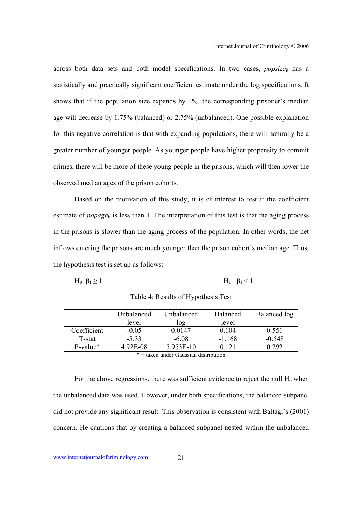across both data sets and both model specifications. In two cases, *popsize*it has a statistically and practically significant coefficient estimate under the log specifications. It shows that if the population size expands by 1%, the corresponding prisoner's median age will decrease by 1.75% (balanced) or 2.75% (unbalanced). One possible explanation for this negative correlation is that with expanding populations, there will naturally be a greater number of younger people. As younger people have higher propensity to commit crimes, there will be more of these young people in the prisons, which will then lower the observed median ages of the prison cohorts.

Based on the motivation of this study, it is of interest to test if the coefficient estimate of *popage*<sub>it</sub> is less than 1. The interpretation of this test is that the aging process in the prisons is slower than the aging process of the population. In other words, the net inflows entering the prisons are much younger than the prison cohort's median age. Thus, the hypothesis test is set up as follows:

$$
H_0: \beta_1 \geq 1 \qquad H_1: \beta_1 < 1
$$

|                      | Unbalanced | Unbalanced | <b>Balanced</b> | Balanced log |  |
|----------------------|------------|------------|-----------------|--------------|--|
|                      | level      | log        | level           |              |  |
| Coefficient          | $-0.05$    | 0 0 1 4 7  | 0.104           | 0.551        |  |
| T-stat               | $-5.33$    | $-6.08$    | $-1.168$        | $-0.548$     |  |
| P-value <sup>*</sup> | 4.92E-08   | 5.953E-10  | 0.121           | 0.292        |  |
|                      |            |            |                 |              |  |

Table 4: Results of Hypothesis Test

\* = taken under Gaussian distribution

For the above regressions, there was sufficient evidence to reject the null  $H_0$  when the unbalanced data was used. However, under both specifications, the balanced subpanel did not provide any significant result. This observation is consistent with Baltagi's (2001) concern. He cautions that by creating a balanced subpanel nested within the unbalanced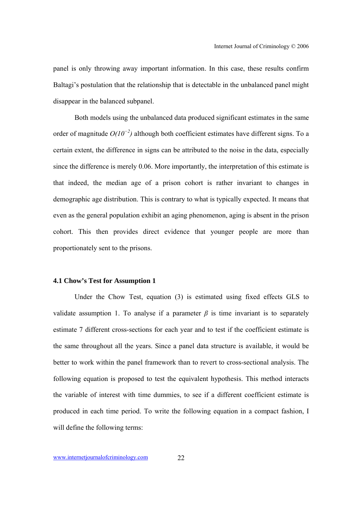panel is only throwing away important information. In this case, these results confirm Baltagi's postulation that the relationship that is detectable in the unbalanced panel might disappear in the balanced subpanel.

Both models using the unbalanced data produced significant estimates in the same order of magnitude *O(10<sup>−</sup><sup>2</sup> )* although both coefficient estimates have different signs. To a certain extent, the difference in signs can be attributed to the noise in the data, especially since the difference is merely 0.06. More importantly, the interpretation of this estimate is that indeed, the median age of a prison cohort is rather invariant to changes in demographic age distribution. This is contrary to what is typically expected. It means that even as the general population exhibit an aging phenomenon, aging is absent in the prison cohort. This then provides direct evidence that younger people are more than proportionately sent to the prisons.

## **4.1 Chow's Test for Assumption 1**

Under the Chow Test, equation (3) is estimated using fixed effects GLS to validate assumption 1. To analyse if a parameter  $\beta$  is time invariant is to separately estimate 7 different cross-sections for each year and to test if the coefficient estimate is the same throughout all the years. Since a panel data structure is available, it would be better to work within the panel framework than to revert to cross-sectional analysis. The following equation is proposed to test the equivalent hypothesis. This method interacts the variable of interest with time dummies, to see if a different coefficient estimate is produced in each time period. To write the following equation in a compact fashion, I will define the following terms: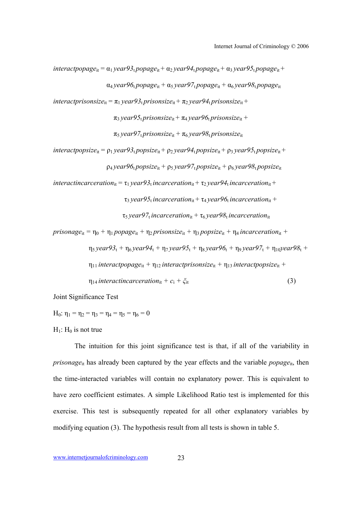$interactpopage_{it} = \alpha_1 \gammaear93_1 popage_{it} + \alpha_2 \gammaear94_1 popage_{it} + \alpha_3 \gammaear95_1 popage_{it} +$  $\alpha_4$  *year*96<sub>t</sub> *popage*<sub>it</sub> +  $\alpha_5$  *year*97<sub>t</sub> *popage*<sub>it</sub> +  $\alpha_6$  *year*98<sub>t</sub> *popage*<sub>it</sub>

 $interactionsize_{it} = \pi_1 \, years3$ <sub>t</sub>  $prisonsize_{it} + \pi_2 \, years4$ <sub>t</sub>  $prisonsize_{it} +$ 

 $\pi_3$  *year*95<sub>t</sub> *prisonsize*<sub>it</sub> +  $\pi_4$  *year*96<sub>t</sub> *prisonsize*<sub>it</sub> +

π5 *year97*t *prisonsize*it + π6 *year98*t *prisonsize*it

 $interactpopsize_{it} = \rho_1 \text{ year} 93_t popsize_{it} + \rho_2 \text{ year} 94_t popsize_{it} + \rho_3 \text{ year} 95_t popsize_{it} +$  $\rho_4$  *year* $96$ <sub>t</sub> *popsize*<sub>it</sub> +  $\rho_5$  *year* $97$ <sub>t</sub> *popsize*<sub>it</sub> +  $\rho_6$  *year* $98$ <sub>t</sub> *popsize*<sub>it</sub>

*interactincarceration*<sub>it</sub> =  $\tau_1$  *year* $93$ <sub>*t</sub> incarceration*<sub>it</sub> +  $\tau_2$  *year* $94$ <sub>*t</sub> incarceration*<sub>it</sub> +</sub></sub>

$$
\tau_3
$$
 year95<sub>t</sub> *incarceration*<sub>it</sub> +  $\tau_4$  year96<sub>t</sub> *incarceration*<sub>it</sub> +

 $\tau_5$  *year97*<sub>t</sub> *incarceration*<sub>it</sub> +  $\tau_6$  *year98*<sub>t</sub> *incarceration*<sub>it</sub>

$$
prisonage_{it} = \eta_0 + \eta_1 popage_{it} + \eta_2 prisonsize_{it} + \eta_3 popsize_{it} + \eta_4 interaction_{it} +
$$
  
\n
$$
\eta_5 year93_t + \eta_6 year94_t + \eta_7 year95_t + \eta_8 year96_t + \eta_9 year97_t + \eta_{10} year98_t +
$$
  
\n
$$
\eta_{11} interact popage_{it} + \eta_{12} interact prisonsize_{it} + \eta_{13} interact popsize_{it} +
$$
  
\n
$$
\eta_{14} interact in correction_{it} + c_i + \xi_{it}
$$
 (3)

Joint Significance Test

H<sub>0</sub>:  $\eta_1 = \eta_2 = \eta_3 = \eta_4 = \eta_5 = \eta_6 = 0$ 

## $H_1$ :  $H_0$  is not true

The intuition for this joint significance test is that, if all of the variability in *prisonage*<sub>it</sub> has already been captured by the year effects and the variable  $popage_{it}$ , then the time-interacted variables will contain no explanatory power. This is equivalent to have zero coefficient estimates. A simple Likelihood Ratio test is implemented for this exercise. This test is subsequently repeated for all other explanatory variables by modifying equation (3). The hypothesis result from all tests is shown in table 5.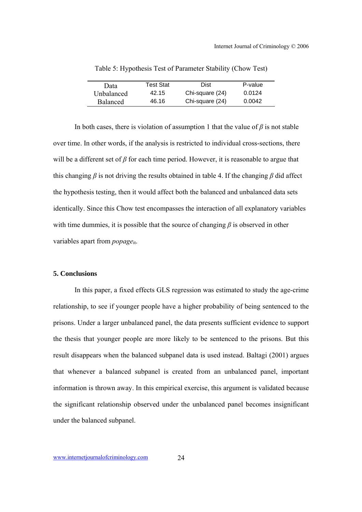| Data            | <b>Test Stat</b> | Dist            | P-value |
|-----------------|------------------|-----------------|---------|
| Unbalanced      | 42.15            | Chi-square (24) | 0.0124  |
| <b>Balanced</b> | 46.16            | Chi-square (24) | 0.0042  |

Table 5: Hypothesis Test of Parameter Stability (Chow Test)

In both cases, there is violation of assumption 1 that the value of  $\beta$  is not stable over time. In other words, if the analysis is restricted to individual cross-sections, there will be a different set of *β* for each time period. However, it is reasonable to argue that this changing  $\beta$  is not driving the results obtained in table 4. If the changing  $\beta$  did affect the hypothesis testing, then it would affect both the balanced and unbalanced data sets identically. Since this Chow test encompasses the interaction of all explanatory variables with time dummies, it is possible that the source of changing *β* is observed in other variables apart from *popage*<sub>it</sub>.

#### **5. Conclusions**

In this paper, a fixed effects GLS regression was estimated to study the age-crime relationship, to see if younger people have a higher probability of being sentenced to the prisons. Under a larger unbalanced panel, the data presents sufficient evidence to support the thesis that younger people are more likely to be sentenced to the prisons. But this result disappears when the balanced subpanel data is used instead. Baltagi (2001) argues that whenever a balanced subpanel is created from an unbalanced panel, important information is thrown away. In this empirical exercise, this argument is validated because the significant relationship observed under the unbalanced panel becomes insignificant under the balanced subpanel.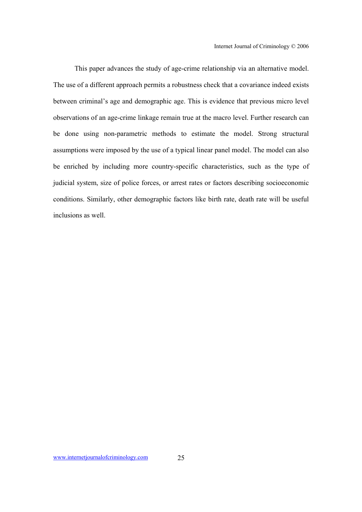This paper advances the study of age-crime relationship via an alternative model. The use of a different approach permits a robustness check that a covariance indeed exists between criminal's age and demographic age. This is evidence that previous micro level observations of an age-crime linkage remain true at the macro level. Further research can be done using non-parametric methods to estimate the model. Strong structural assumptions were imposed by the use of a typical linear panel model. The model can also be enriched by including more country-specific characteristics, such as the type of judicial system, size of police forces, or arrest rates or factors describing socioeconomic conditions. Similarly, other demographic factors like birth rate, death rate will be useful inclusions as well.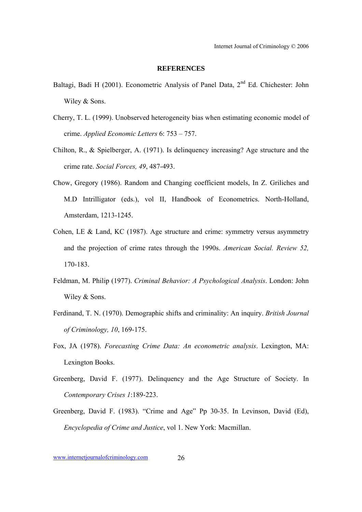## **REFERENCES**

- Baltagi, Badi H (2001). Econometric Analysis of Panel Data, 2<sup>nd</sup> Ed. Chichester: John Wiley & Sons.
- Cherry, T. L. (1999). Unobserved heterogeneity bias when estimating economic model of crime. *Applied Economic Letters* 6: 753 – 757.
- Chilton, R., & Spielberger, A. (1971). Is delinquency increasing? Age structure and the crime rate. *Social Forces, 49*, 487-493.
- Chow, Gregory (1986). Random and Changing coefficient models, In Z. Griliches and M.D Intrilligator (eds.), vol II, Handbook of Econometrics. North-Holland, Amsterdam, 1213-1245.
- Cohen, LE & Land, KC (1987). Age structure and crime: symmetry versus asymmetry and the projection of crime rates through the 1990s. *American Social. Review 52,*  170-183.
- Feldman, M. Philip (1977). *Criminal Behavior: A Psychological Analysis*. London: John Wiley & Sons.
- Ferdinand, T. N. (1970). Demographic shifts and criminality: An inquiry. *British Journal of Criminology, 10*, 169-175.
- Fox, JA (1978). *Forecasting Crime Data: An econometric analysis*. Lexington, MA: Lexington Books.
- Greenberg, David F. (1977). Delinquency and the Age Structure of Society. In *Contemporary Crises 1*:189-223.
- Greenberg, David F. (1983). "Crime and Age" Pp 30-35. In Levinson, David (Ed), *Encyclopedia of Crime and Justice*, vol 1. New York: Macmillan.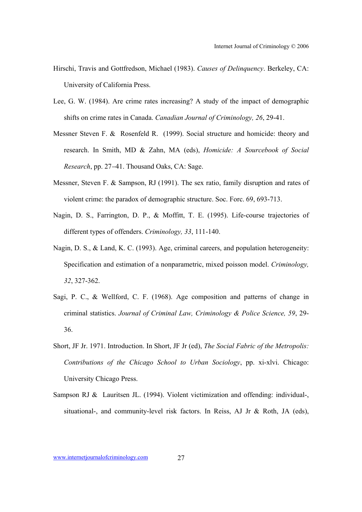- Hirschi, Travis and Gottfredson, Michael (1983). *Causes of Delinquency*. Berkeley, CA: University of California Press.
- Lee, G. W. (1984). Are crime rates increasing? A study of the impact of demographic shifts on crime rates in Canada. *Canadian Journal of Criminology, 26*, 29-41.
- Messner Steven F. & Rosenfeld R. (1999). Social structure and homicide: theory and research. In Smith, MD & Zahn, MA (eds), *Homicide: A Sourcebook of Social Research*, pp. 27–41. Thousand Oaks, CA: Sage.
- Messner, Steven F. & Sampson, RJ (1991). The sex ratio, family disruption and rates of violent crime: the paradox of demographic structure. Soc. Forc. 69, 693-713.
- Nagin, D. S., Farrington, D. P., & Moffitt, T. E. (1995). Life-course trajectories of different types of offenders. *Criminology, 33*, 111-140.
- Nagin, D. S., & Land, K. C. (1993). Age, criminal careers, and population heterogeneity: Specification and estimation of a nonparametric, mixed poisson model. *Criminology, 32*, 327-362.
- Sagi, P. C., & Wellford, C. F. (1968). Age composition and patterns of change in criminal statistics. *Journal of Criminal Law, Criminology & Police Science, 59*, 29- 36.
- Short, JF Jr. 1971. Introduction. In Short, JF Jr (ed), *The Social Fabric of the Metropolis: Contributions of the Chicago School to Urban Sociology*, pp. xi-xlvi. Chicago: University Chicago Press.
- Sampson RJ & Lauritsen JL. (1994). Violent victimization and offending: individual-, situational-, and community-level risk factors. In Reiss, AJ Jr & Roth, JA (eds),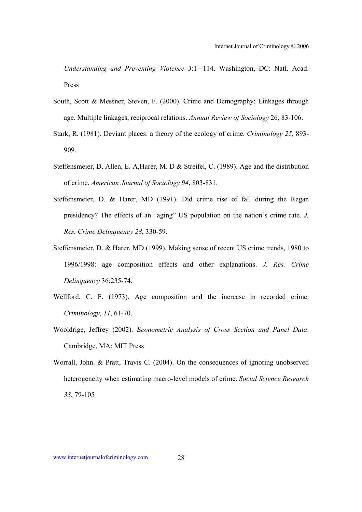Understanding and Preventing Violence 3:1-114. Washington, DC: Natl. Acad. Press

- South, Scott & Messner, Steven, F. (2000). Crime and Demography: Linkages through age. Multiple linkages, reciprocal relations. *Annual Review of Sociology* 26, 83-106.
- Stark, R. (1981). Deviant places: a theory of the ecology of crime. *Criminology 25,* 893- 909.
- Steffensmeier, D. Allen, E. A,Harer, M. D & Streifel, C. (1989). Age and the distribution of crime. *American Journal of Sociology 94*, 803-831.
- Steffensmeier, D. & Harer, MD (1991). Did crime rise of fall during the Regan presidency? The effects of an "aging" US population on the nation's crime rate. *J. Res. Crime Delinquency 28*, 330-59.
- Steffensmeier, D. & Harer, MD (1999). Making sense of recent US crime trends, 1980 to 1996/1998: age composition effects and other explanations. *J. Res. Crime Delinquency* 36:235-74.
- Wellford, C. F. (1973). Age composition and the increase in recorded crime. *Criminology, 11*, 61-70.
- Wooldrige, Jeffrey (2002). *Econometric Analysis of Cross Section and Panel Data*. Cambridge, MA: MIT Press
- Worrall, John. & Pratt, Travis C. (2004). On the consequences of ignoring unobserved heterogeneity when estimating macro-level models of crime. *Social Science Research 33*, 79-105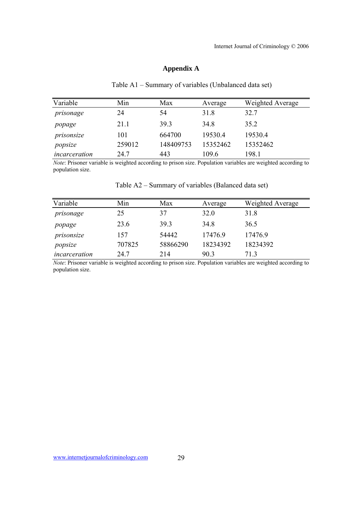# **Appendix A**

|  |  | Table A1 – Summary of variables (Unbalanced data set) |
|--|--|-------------------------------------------------------|
|--|--|-------------------------------------------------------|

| Variable      | Min    | Max       | Average  | Weighted Average |
|---------------|--------|-----------|----------|------------------|
| prisonage     | 24     | 54        | 31.8     | 32.7             |
| popage        | 21.1   | 39.3      | 34.8     | 35.2             |
| prisonsize    | 101    | 664700    | 19530.4  | 19530.4          |
| popsize       | 259012 | 148409753 | 15352462 | 15352462         |
| incarceration | 24.7   | 443       | 109.6    | 198.1            |

*Note*: Prisoner variable is weighted according to prison size. Population variables are weighted according to population size.

| Table A2 – Summary of variables (Balanced data set) |
|-----------------------------------------------------|
|-----------------------------------------------------|

| Variable      | Min    | Max      | Average  | Weighted Average |
|---------------|--------|----------|----------|------------------|
| prisonage     | 25     | 37       | 32.0     | 31.8             |
| popage        | 23.6   | 39.3     | 34.8     | 36.5             |
| prisonsize    | 157    | 54442    | 17476.9  | 17476.9          |
| popsize       | 707825 | 58866290 | 18234392 | 18234392         |
| incarceration | 24.7   | 214      | 90.3     | 713              |

*Note*: Prisoner variable is weighted according to prison size. Population variables are weighted according to population size.